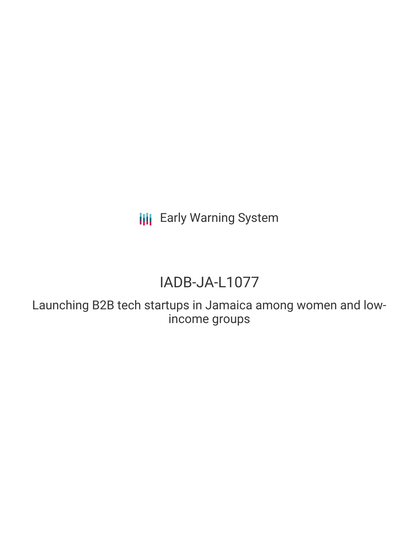**III** Early Warning System

# IADB-JA-L1077

Launching B2B tech startups in Jamaica among women and lowincome groups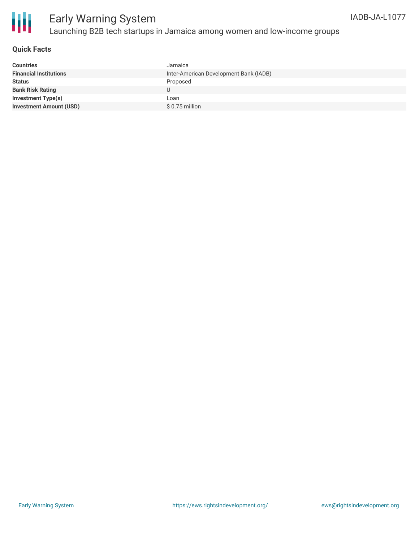

# Early Warning System Launching B2B tech startups in Jamaica among women and low-income groups

## **Quick Facts**

| <b>Countries</b>               | Jamaica                                |
|--------------------------------|----------------------------------------|
| <b>Financial Institutions</b>  | Inter-American Development Bank (IADB) |
| <b>Status</b>                  | Proposed                               |
| <b>Bank Risk Rating</b>        |                                        |
| <b>Investment Type(s)</b>      | Loan                                   |
| <b>Investment Amount (USD)</b> | $$0.75$ million                        |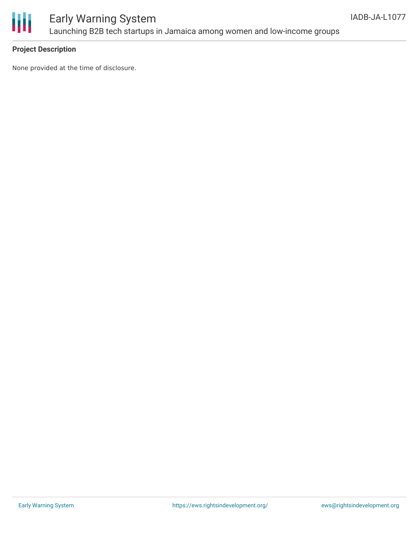

## **Project Description**

None provided at the time of disclosure.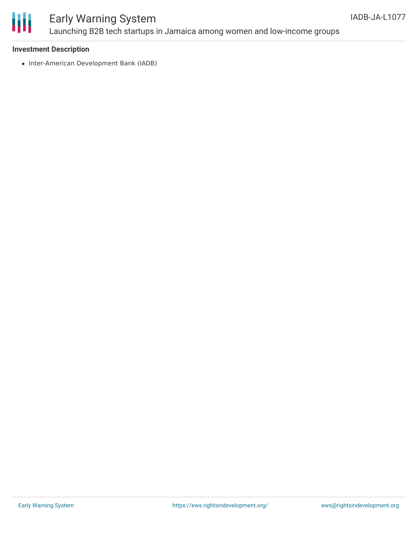

# Early Warning System Launching B2B tech startups in Jamaica among women and low-income groups

## **Investment Description**

• Inter-American Development Bank (IADB)